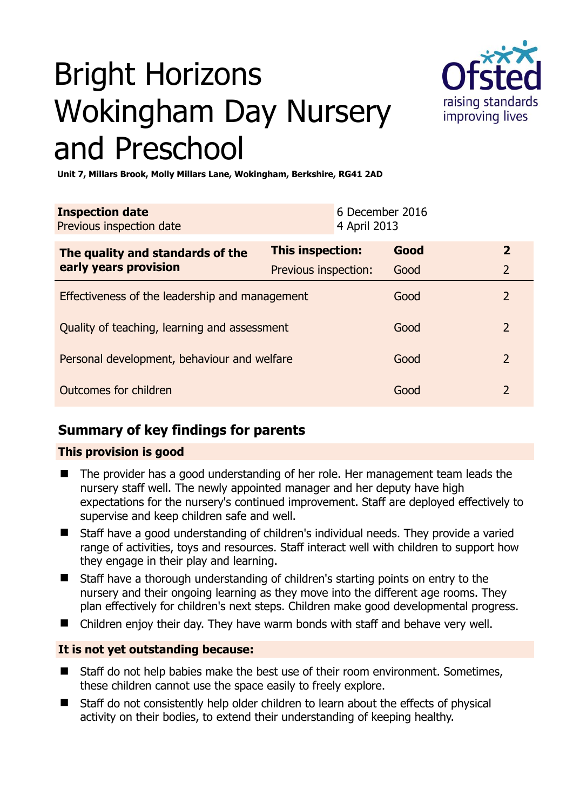# Bright Horizons Wokingham Day Nursery and Preschool



**Unit 7, Millars Brook, Molly Millars Lane, Wokingham, Berkshire, RG41 2AD** 

| <b>Inspection date</b><br>Previous inspection date        |                      | 6 December 2016<br>4 April 2013 |      |                |
|-----------------------------------------------------------|----------------------|---------------------------------|------|----------------|
| The quality and standards of the<br>early years provision | This inspection:     |                                 | Good | $\mathbf{2}$   |
|                                                           | Previous inspection: |                                 | Good | $\overline{2}$ |
| Effectiveness of the leadership and management            |                      |                                 | Good | $\mathcal{P}$  |
| Quality of teaching, learning and assessment              |                      |                                 | Good | 2              |
| Personal development, behaviour and welfare               |                      |                                 | Good | $\mathcal{L}$  |
| Outcomes for children                                     |                      |                                 | Good | $\mathcal{P}$  |

# **Summary of key findings for parents**

## **This provision is good**

- The provider has a good understanding of her role. Her management team leads the nursery staff well. The newly appointed manager and her deputy have high expectations for the nursery's continued improvement. Staff are deployed effectively to supervise and keep children safe and well.
- Staff have a good understanding of children's individual needs. They provide a varied range of activities, toys and resources. Staff interact well with children to support how they engage in their play and learning.
- Staff have a thorough understanding of children's starting points on entry to the nursery and their ongoing learning as they move into the different age rooms. They plan effectively for children's next steps. Children make good developmental progress.
- Children enjoy their day. They have warm bonds with staff and behave very well.

## **It is not yet outstanding because:**

- Staff do not help babies make the best use of their room environment. Sometimes, these children cannot use the space easily to freely explore.
- Staff do not consistently help older children to learn about the effects of physical activity on their bodies, to extend their understanding of keeping healthy.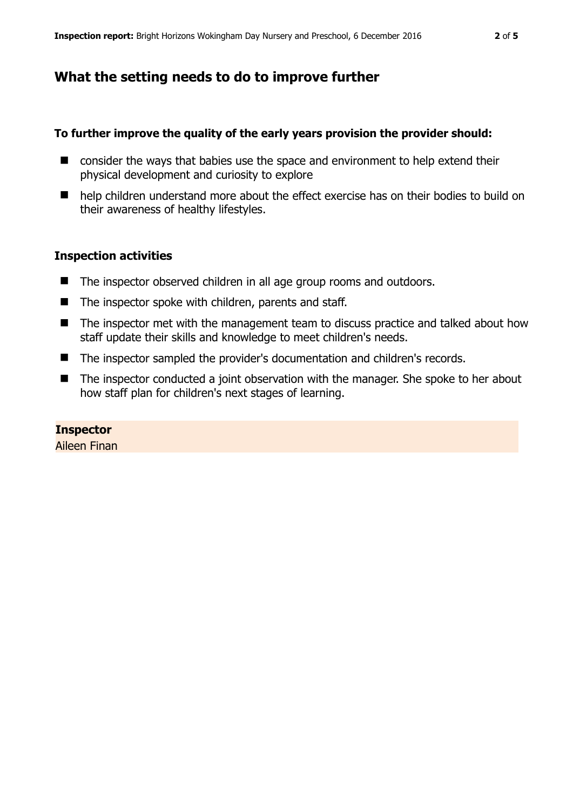# **What the setting needs to do to improve further**

### **To further improve the quality of the early years provision the provider should:**

- consider the ways that babies use the space and environment to help extend their physical development and curiosity to explore
- help children understand more about the effect exercise has on their bodies to build on their awareness of healthy lifestyles.

### **Inspection activities**

- The inspector observed children in all age group rooms and outdoors.
- The inspector spoke with children, parents and staff.
- The inspector met with the management team to discuss practice and talked about how staff update their skills and knowledge to meet children's needs.
- The inspector sampled the provider's documentation and children's records.
- The inspector conducted a joint observation with the manager. She spoke to her about how staff plan for children's next stages of learning.

## **Inspector**

Aileen Finan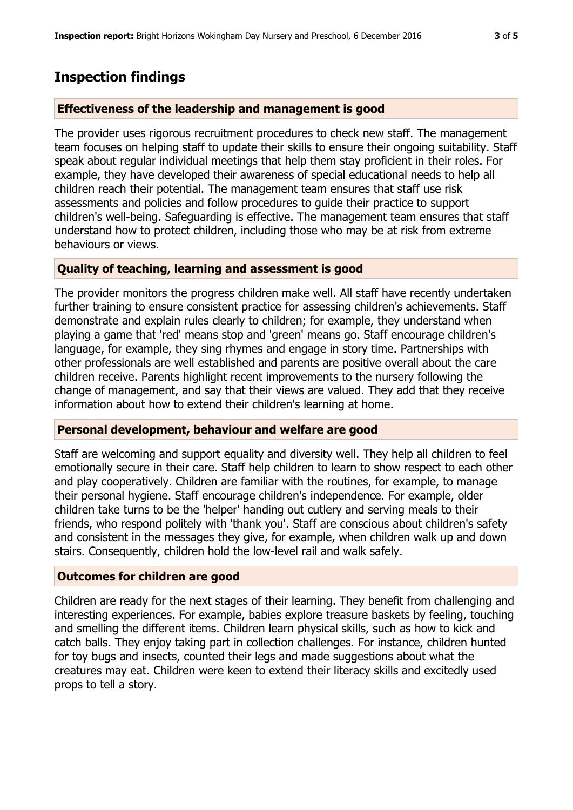## **Inspection findings**

#### **Effectiveness of the leadership and management is good**

The provider uses rigorous recruitment procedures to check new staff. The management team focuses on helping staff to update their skills to ensure their ongoing suitability. Staff speak about regular individual meetings that help them stay proficient in their roles. For example, they have developed their awareness of special educational needs to help all children reach their potential. The management team ensures that staff use risk assessments and policies and follow procedures to guide their practice to support children's well-being. Safeguarding is effective. The management team ensures that staff understand how to protect children, including those who may be at risk from extreme behaviours or views.

#### **Quality of teaching, learning and assessment is good**

The provider monitors the progress children make well. All staff have recently undertaken further training to ensure consistent practice for assessing children's achievements. Staff demonstrate and explain rules clearly to children; for example, they understand when playing a game that 'red' means stop and 'green' means go. Staff encourage children's language, for example, they sing rhymes and engage in story time. Partnerships with other professionals are well established and parents are positive overall about the care children receive. Parents highlight recent improvements to the nursery following the change of management, and say that their views are valued. They add that they receive information about how to extend their children's learning at home.

#### **Personal development, behaviour and welfare are good**

Staff are welcoming and support equality and diversity well. They help all children to feel emotionally secure in their care. Staff help children to learn to show respect to each other and play cooperatively. Children are familiar with the routines, for example, to manage their personal hygiene. Staff encourage children's independence. For example, older children take turns to be the 'helper' handing out cutlery and serving meals to their friends, who respond politely with 'thank you'. Staff are conscious about children's safety and consistent in the messages they give, for example, when children walk up and down stairs. Consequently, children hold the low-level rail and walk safely.

#### **Outcomes for children are good**

Children are ready for the next stages of their learning. They benefit from challenging and interesting experiences. For example, babies explore treasure baskets by feeling, touching and smelling the different items. Children learn physical skills, such as how to kick and catch balls. They enjoy taking part in collection challenges. For instance, children hunted for toy bugs and insects, counted their legs and made suggestions about what the creatures may eat. Children were keen to extend their literacy skills and excitedly used props to tell a story.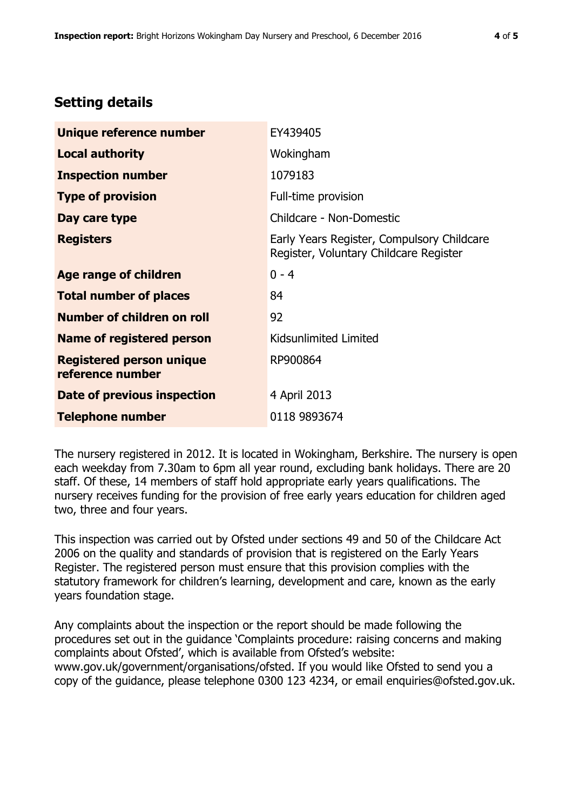# **Setting details**

| Unique reference number                             | EY439405                                                                             |  |
|-----------------------------------------------------|--------------------------------------------------------------------------------------|--|
| <b>Local authority</b>                              | Wokingham                                                                            |  |
| <b>Inspection number</b>                            | 1079183                                                                              |  |
| <b>Type of provision</b>                            | Full-time provision                                                                  |  |
| Day care type                                       | Childcare - Non-Domestic                                                             |  |
| <b>Registers</b>                                    | Early Years Register, Compulsory Childcare<br>Register, Voluntary Childcare Register |  |
| Age range of children                               | $0 - 4$                                                                              |  |
| <b>Total number of places</b>                       | 84                                                                                   |  |
| Number of children on roll                          | 92                                                                                   |  |
| Name of registered person                           | Kidsunlimited Limited                                                                |  |
| <b>Registered person unique</b><br>reference number | RP900864                                                                             |  |
| <b>Date of previous inspection</b>                  | 4 April 2013                                                                         |  |
| <b>Telephone number</b>                             | 0118 9893674                                                                         |  |

The nursery registered in 2012. It is located in Wokingham, Berkshire. The nursery is open each weekday from 7.30am to 6pm all year round, excluding bank holidays. There are 20 staff. Of these, 14 members of staff hold appropriate early years qualifications. The nursery receives funding for the provision of free early years education for children aged two, three and four years.

This inspection was carried out by Ofsted under sections 49 and 50 of the Childcare Act 2006 on the quality and standards of provision that is registered on the Early Years Register. The registered person must ensure that this provision complies with the statutory framework for children's learning, development and care, known as the early years foundation stage.

Any complaints about the inspection or the report should be made following the procedures set out in the guidance 'Complaints procedure: raising concerns and making complaints about Ofsted', which is available from Ofsted's website: www.gov.uk/government/organisations/ofsted. If you would like Ofsted to send you a copy of the guidance, please telephone 0300 123 4234, or email enquiries@ofsted.gov.uk.